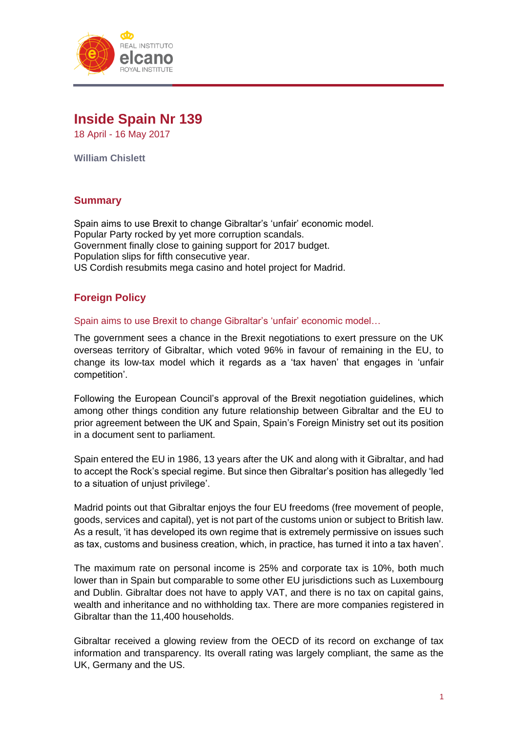

# **Inside Spain Nr 139**

18 April - 16 May 2017

**William Chislett**

# **Summary**

Spain aims to use Brexit to change Gibraltar's 'unfair' economic model. Popular Party rocked by yet more corruption scandals. Government finally close to gaining support for 2017 budget. Population slips for fifth consecutive year. US Cordish resubmits mega casino and hotel project for Madrid.

# **Foreign Policy**

Spain aims to use Brexit to change Gibraltar's 'unfair' economic model…

The government sees a chance in the Brexit negotiations to exert pressure on the UK overseas territory of Gibraltar, which voted 96% in favour of remaining in the EU, to change its low-tax model which it regards as a 'tax haven' that engages in 'unfair competition'.

Following the European Council's approval of the Brexit negotiation guidelines, which among other things condition any future relationship between Gibraltar and the EU to prior agreement between the UK and Spain, Spain's Foreign Ministry set out its position in a document sent to parliament.

Spain entered the EU in 1986, 13 years after the UK and along with it Gibraltar, and had to accept the Rock's special regime. But since then Gibraltar's position has allegedly 'led to a situation of unjust privilege'.

Madrid points out that Gibraltar enjoys the four EU freedoms (free movement of people, goods, services and capital), yet is not part of the customs union or subject to British law. As a result, 'it has developed its own regime that is extremely permissive on issues such as tax, customs and business creation, which, in practice, has turned it into a tax haven'.

The maximum rate on personal income is 25% and corporate tax is 10%, both much lower than in Spain but comparable to some other EU jurisdictions such as Luxembourg and Dublin. Gibraltar does not have to apply VAT, and there is no tax on capital gains, wealth and inheritance and no withholding tax. There are more companies registered in Gibraltar than the 11,400 households.

Gibraltar received a glowing review from the OECD of its record on exchange of tax information and transparency. Its overall rating was largely compliant, the same as the UK, Germany and the US.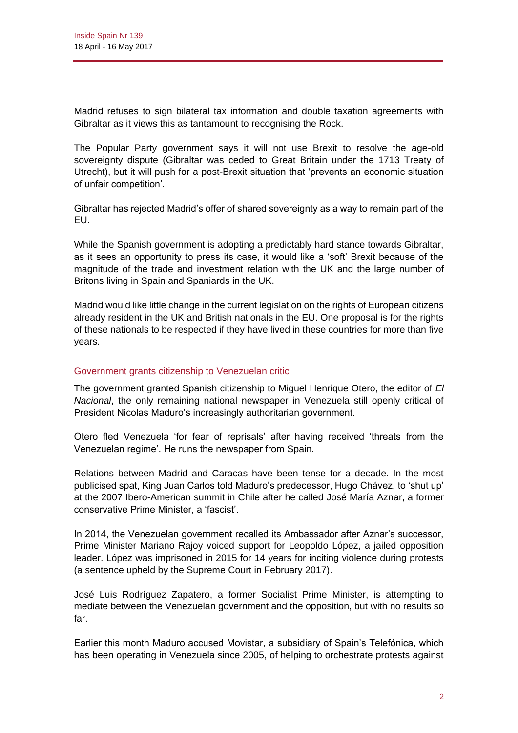Madrid refuses to sign bilateral tax information and double taxation agreements with Gibraltar as it views this as tantamount to recognising the Rock.

The Popular Party government says it will not use Brexit to resolve the age-old sovereignty dispute (Gibraltar was ceded to Great Britain under the 1713 Treaty of Utrecht), but it will push for a post-Brexit situation that 'prevents an economic situation of unfair competition'.

Gibraltar has rejected Madrid's offer of shared sovereignty as a way to remain part of the EU.

While the Spanish government is adopting a predictably hard stance towards Gibraltar, as it sees an opportunity to press its case, it would like a 'soft' Brexit because of the magnitude of the trade and investment relation with the UK and the large number of Britons living in Spain and Spaniards in the UK.

Madrid would like little change in the current legislation on the rights of European citizens already resident in the UK and British nationals in the EU. One proposal is for the rights of these nationals to be respected if they have lived in these countries for more than five years.

#### Government grants citizenship to Venezuelan critic

The government granted Spanish citizenship to Miguel Henrique Otero, the editor of *El Nacional*, the only remaining national newspaper in Venezuela still openly critical of President Nicolas Maduro's increasingly authoritarian government.

Otero fled Venezuela 'for fear of reprisals' after having received 'threats from the Venezuelan regime'. He runs the newspaper from Spain.

Relations between Madrid and Caracas have been tense for a decade. In the most publicised spat, King Juan Carlos told Maduro's predecessor, Hugo Chávez, to 'shut up' at the 2007 Ibero-American summit in Chile after he called José María Aznar, a former conservative Prime Minister, a 'fascist'.

In 2014, the Venezuelan government recalled its Ambassador after Aznar's successor, Prime Minister Mariano Rajoy voiced support for Leopoldo López, a jailed opposition leader. López was imprisoned in 2015 for 14 years for inciting violence during protests (a sentence upheld by the Supreme Court in February 2017).

José Luis Rodríguez Zapatero, a former Socialist Prime Minister, is attempting to mediate between the Venezuelan government and the opposition, but with no results so far.

Earlier this month Maduro accused Movistar, a subsidiary of Spain's Telefónica, which has been operating in Venezuela since 2005, of helping to orchestrate protests against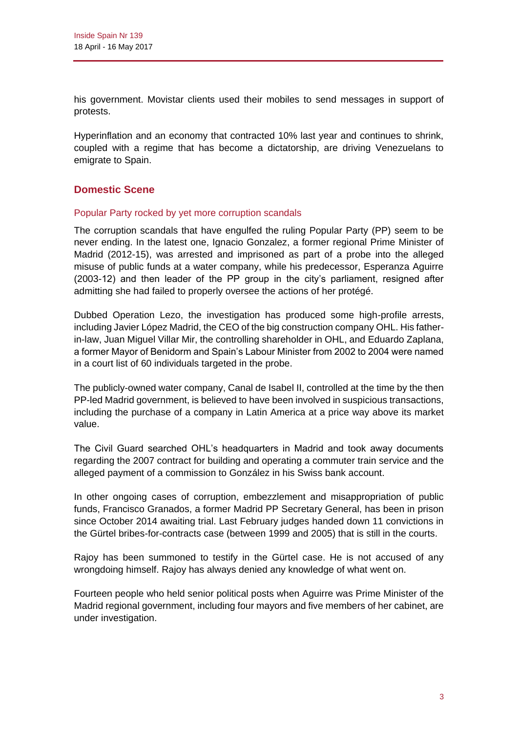his government. Movistar clients used their mobiles to send messages in support of protests.

Hyperinflation and an economy that contracted 10% last year and continues to shrink, coupled with a regime that has become a dictatorship, are driving Venezuelans to emigrate to Spain.

# **Domestic Scene**

#### Popular Party rocked by yet more corruption scandals

The corruption scandals that have engulfed the ruling Popular Party (PP) seem to be never ending. In the latest one, Ignacio Gonzalez, a former regional Prime Minister of Madrid (2012-15), was arrested and imprisoned as part of a probe into the alleged misuse of public funds at a water company, while his predecessor, Esperanza Aguirre (2003-12) and then leader of the PP group in the city's parliament, resigned after admitting she had failed to properly oversee the actions of her protégé.

Dubbed Operation Lezo, the investigation has produced some high-profile arrests, including Javier López Madrid, the CEO of the big construction company OHL. His fatherin-law, Juan Miguel Villar Mir, the controlling shareholder in OHL, and Eduardo Zaplana, a former Mayor of Benidorm and Spain's Labour Minister from 2002 to 2004 were named in a court list of 60 individuals targeted in the probe.

The publicly-owned water company, Canal de Isabel II, controlled at the time by the then PP-led Madrid government, is believed to have been involved in suspicious transactions, including the purchase of a company in Latin America at a price way above its market value.

The Civil Guard searched OHL's headquarters in Madrid and took away documents regarding the 2007 contract for building and operating a commuter train service and the alleged payment of a commission to González in his Swiss bank account.

In other ongoing cases of corruption, embezzlement and misappropriation of public funds, Francisco Granados, a former Madrid PP Secretary General, has been in prison since October 2014 awaiting trial. Last February judges handed down 11 convictions in the Gürtel bribes-for-contracts case (between 1999 and 2005) that is still in the courts.

Rajoy has been summoned to testify in the Gürtel case. He is not accused of any wrongdoing himself. Rajoy has always denied any knowledge of what went on.

Fourteen people who held senior political posts when Aguirre was Prime Minister of the Madrid regional government, including four mayors and five members of her cabinet, are under investigation.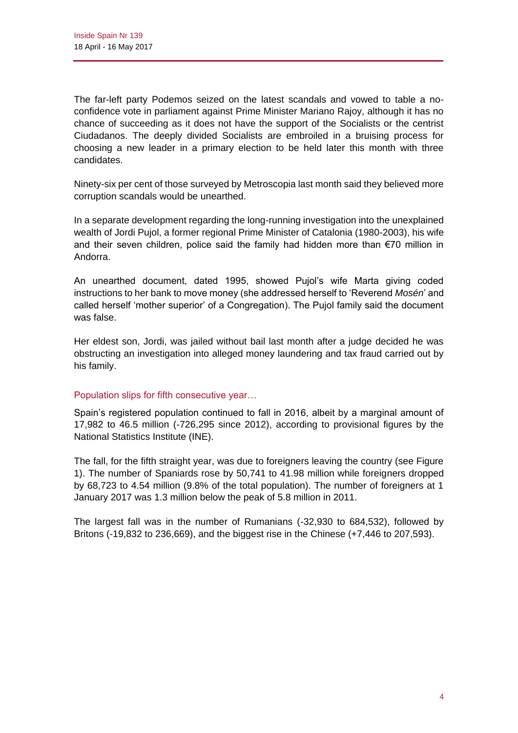The far-left party Podemos seized on the latest scandals and vowed to table a noconfidence vote in parliament against Prime Minister Mariano Rajoy, although it has no chance of succeeding as it does not have the support of the Socialists or the centrist Ciudadanos. The deeply divided Socialists are embroiled in a bruising process for choosing a new leader in a primary election to be held later this month with three candidates.

Ninety-six per cent of those surveyed by Metroscopia last month said they believed more corruption scandals would be unearthed.

In a separate development regarding the long-running investigation into the unexplained wealth of Jordi Pujol, a former regional Prime Minister of Catalonia (1980-2003), his wife and their seven children, police said the family had hidden more than €70 million in Andorra.

An unearthed document, dated 1995, showed Pujol's wife Marta giving coded instructions to her bank to move money (she addressed herself to 'Reverend *Mosén*' and called herself 'mother superior' of a Congregation). The Pujol family said the document was false.

Her eldest son, Jordi, was jailed without bail last month after a judge decided he was obstructing an investigation into alleged money laundering and tax fraud carried out by his family.

#### Population slips for fifth consecutive year…

Spain's registered population continued to fall in 2016, albeit by a marginal amount of 17,982 to 46.5 million (-726,295 since 2012), according to provisional figures by the National Statistics Institute (INE).

The fall, for the fifth straight year, was due to foreigners leaving the country (see Figure 1). The number of Spaniards rose by 50,741 to 41.98 million while foreigners dropped by 68,723 to 4.54 million (9.8% of the total population). The number of foreigners at 1 January 2017 was 1.3 million below the peak of 5.8 million in 2011.

The largest fall was in the number of Rumanians (-32,930 to 684,532), followed by Britons (-19,832 to 236,669), and the biggest rise in the Chinese (+7,446 to 207,593).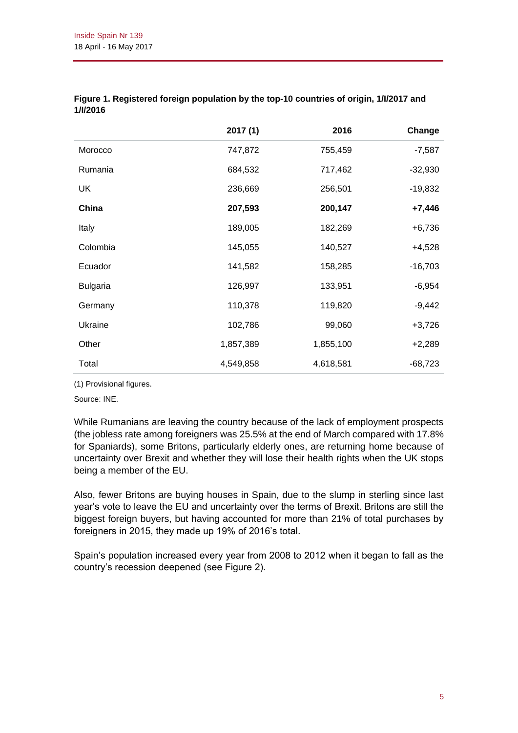|                 | 2017(1)   | 2016      | Change    |
|-----------------|-----------|-----------|-----------|
| Morocco         | 747,872   | 755,459   | $-7,587$  |
| Rumania         | 684,532   | 717,462   | $-32,930$ |
| UK              | 236,669   | 256,501   | $-19,832$ |
| China           | 207,593   | 200,147   | $+7,446$  |
| Italy           | 189,005   | 182,269   | $+6,736$  |
| Colombia        | 145,055   | 140,527   | $+4,528$  |
| Ecuador         | 141,582   | 158,285   | $-16,703$ |
| <b>Bulgaria</b> | 126,997   | 133,951   | $-6,954$  |
| Germany         | 110,378   | 119,820   | $-9,442$  |
| Ukraine         | 102,786   | 99,060    | $+3,726$  |
| Other           | 1,857,389 | 1,855,100 | $+2,289$  |
| Total           | 4,549,858 | 4,618,581 | $-68,723$ |

| Figure 1. Registered foreign population by the top-10 countries of origin, 1/l/2017 and |  |
|-----------------------------------------------------------------------------------------|--|
| 1/l/2016                                                                                |  |

(1) Provisional figures.

Source: INE.

While Rumanians are leaving the country because of the lack of employment prospects (the jobless rate among foreigners was 25.5% at the end of March compared with 17.8% for Spaniards), some Britons, particularly elderly ones, are returning home because of uncertainty over Brexit and whether they will lose their health rights when the UK stops being a member of the EU.

Also, fewer Britons are buying houses in Spain, due to the slump in sterling since last year's vote to leave the EU and uncertainty over the terms of Brexit. Britons are still the biggest foreign buyers, but having accounted for more than 21% of total purchases by foreigners in 2015, they made up 19% of 2016's total.

Spain's population increased every year from 2008 to 2012 when it began to fall as the country's recession deepened (see Figure 2).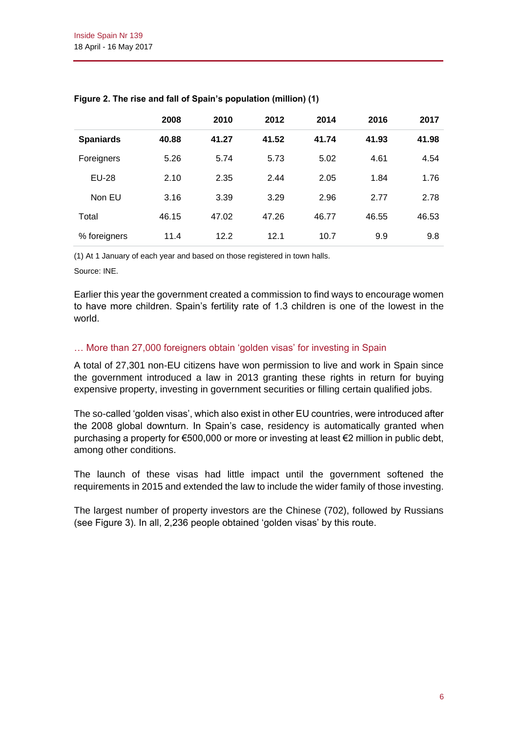|                  | 2008  | 2010  | 2012  | 2014  | 2016  | 2017  |
|------------------|-------|-------|-------|-------|-------|-------|
| <b>Spaniards</b> | 40.88 | 41.27 | 41.52 | 41.74 | 41.93 | 41.98 |
| Foreigners       | 5.26  | 5.74  | 5.73  | 5.02  | 4.61  | 4.54  |
| EU-28            | 2.10  | 2.35  | 2.44  | 2.05  | 1.84  | 1.76  |
| Non EU           | 3.16  | 3.39  | 3.29  | 2.96  | 2.77  | 2.78  |
| Total            | 46.15 | 47.02 | 47.26 | 46.77 | 46.55 | 46.53 |
| % foreigners     | 11.4  | 12.2  | 12.1  | 10.7  | 9.9   | 9.8   |

#### **Figure 2. The rise and fall of Spain's population (million) (1)**

(1) At 1 January of each year and based on those registered in town halls.

Source: INE.

Earlier this year the government created a commission to find ways to encourage women to have more children. Spain's fertility rate of 1.3 children is one of the lowest in the world.

#### … More than 27,000 foreigners obtain 'golden visas' for investing in Spain

A total of 27,301 non-EU citizens have won permission to live and work in Spain since the government introduced a law in 2013 granting these rights in return for buying expensive property, investing in government securities or filling certain qualified jobs.

The so-called 'golden visas', which also exist in other EU countries, were introduced after the 2008 global downturn. In Spain's case, residency is automatically granted when purchasing a property for €500,000 or more or investing at least €2 million in public debt, among other conditions.

The launch of these visas had little impact until the government softened the requirements in 2015 and extended the law to include the wider family of those investing.

The largest number of property investors are the Chinese (702), followed by Russians (see Figure 3). In all, 2,236 people obtained 'golden visas' by this route.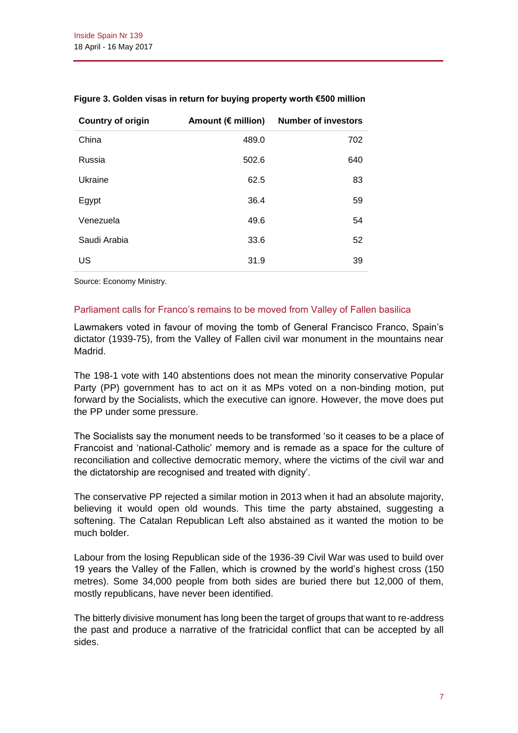| <b>Country of origin</b> | Amount ( $\notin$ million) | <b>Number of investors</b> |
|--------------------------|----------------------------|----------------------------|
| China                    | 489.0                      | 702                        |
| Russia                   | 502.6                      | 640                        |
| Ukraine                  | 62.5                       | 83                         |
| Egypt                    | 36.4                       | 59                         |
| Venezuela                | 49.6                       | 54                         |
| Saudi Arabia             | 33.6                       | 52                         |
| US                       | 31.9                       | 39                         |

#### **Figure 3. Golden visas in return for buying property worth €500 million**

Source: Economy Ministry.

#### Parliament calls for Franco's remains to be moved from Valley of Fallen basilica

Lawmakers voted in favour of moving the tomb of General Francisco Franco, Spain's dictator (1939-75), from the Valley of Fallen civil war monument in the mountains near Madrid.

The 198-1 vote with 140 abstentions does not mean the minority conservative Popular Party (PP) government has to act on it as MPs voted on a non-binding motion, put forward by the Socialists, which the executive can ignore. However, the move does put the PP under some pressure.

The Socialists say the monument needs to be transformed 'so it ceases to be a place of Francoist and 'national-Catholic' memory and is remade as a space for the culture of reconciliation and collective democratic memory, where the victims of the civil war and the dictatorship are recognised and treated with dignity'.

The conservative PP rejected a similar motion in 2013 when it had an absolute majority, believing it would open old wounds. This time the party abstained, suggesting a softening. The Catalan Republican Left also abstained as it wanted the motion to be much bolder.

Labour from the losing Republican side of the 1936-39 Civil War was used to build over 19 years the Valley of the Fallen, which is crowned by the world's highest cross (150 metres). Some 34,000 people from both sides are buried there but 12,000 of them, mostly republicans, have never been identified.

The bitterly divisive monument has long been the target of groups that want to re-address the past and produce a narrative of the fratricidal conflict that can be accepted by all sides.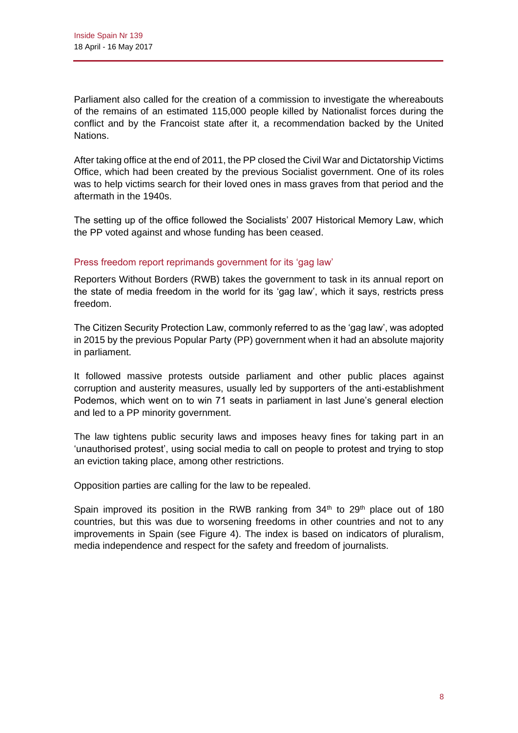Parliament also called for the creation of a commission to investigate the whereabouts of the remains of an estimated 115,000 people killed by Nationalist forces during the conflict and by the Francoist state after it, a recommendation backed by the United Nations.

After taking office at the end of 2011, the PP closed the Civil War and Dictatorship Victims Office, which had been created by the previous Socialist government. One of its roles was to help victims search for their loved ones in mass graves from that period and the aftermath in the 1940s.

The setting up of the office followed the Socialists' 2007 Historical Memory Law, which the PP voted against and whose funding has been ceased.

#### Press freedom report reprimands government for its 'gag law'

Reporters Without Borders (RWB) takes the government to task in its annual report on the state of media freedom in the world for its 'gag law', which it says, restricts press freedom.

The Citizen Security Protection Law, commonly referred to as the 'gag law', was adopted in 2015 by the previous Popular Party (PP) government when it had an absolute majority in parliament.

It followed massive protests outside parliament and other public places against corruption and austerity measures, usually led by supporters of the anti-establishment Podemos, which went on to win 71 seats in parliament in last June's general election and led to a PP minority government.

The law tightens public security laws and imposes heavy fines for taking part in an 'unauthorised protest', using social media to call on people to protest and trying to stop an eviction taking place, among other restrictions.

Opposition parties are calling for the law to be repealed.

Spain improved its position in the RWB ranking from  $34<sup>th</sup>$  to  $29<sup>th</sup>$  place out of 180 countries, but this was due to worsening freedoms in other countries and not to any improvements in Spain (see Figure 4). The index is based on indicators of pluralism, media independence and respect for the safety and freedom of journalists.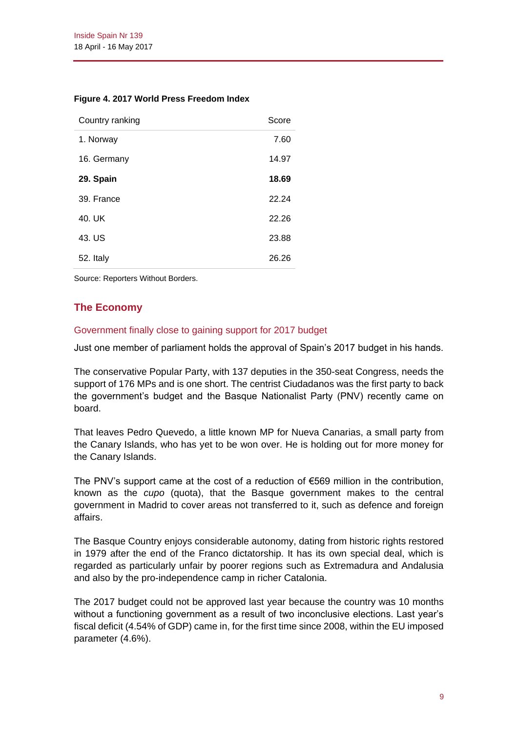|  |  | Figure 4. 2017 World Press Freedom Index |  |
|--|--|------------------------------------------|--|
|  |  |                                          |  |

| Country ranking | Score |
|-----------------|-------|
| 1. Norway       | 7.60  |
| 16. Germany     | 14.97 |
| 29. Spain       | 18.69 |
| 39. France      | 22.24 |
| 40. UK          | 22.26 |
| 43. US          | 23.88 |
| 52. Italy       | 26.26 |

Source: Reporters Without Borders.

# **The Economy**

#### Government finally close to gaining support for 2017 budget

Just one member of parliament holds the approval of Spain's 2017 budget in his hands.

The conservative Popular Party, with 137 deputies in the 350-seat Congress, needs the support of 176 MPs and is one short. The centrist Ciudadanos was the first party to back the government's budget and the Basque Nationalist Party (PNV) recently came on board.

That leaves Pedro Quevedo, a little known MP for Nueva Canarias, a small party from the Canary Islands, who has yet to be won over. He is holding out for more money for the Canary Islands.

The PNV's support came at the cost of a reduction of €569 million in the contribution, known as the *cupo* (quota), that the Basque government makes to the central government in Madrid to cover areas not transferred to it, such as defence and foreign affairs.

The Basque Country enjoys considerable autonomy, dating from historic rights restored in 1979 after the end of the Franco dictatorship. It has its own special deal, which is regarded as particularly unfair by poorer regions such as Extremadura and Andalusia and also by the pro-independence camp in richer Catalonia.

The 2017 budget could not be approved last year because the country was 10 months without a functioning government as a result of two inconclusive elections. Last year's fiscal deficit (4.54% of GDP) came in, for the first time since 2008, within the EU imposed parameter (4.6%).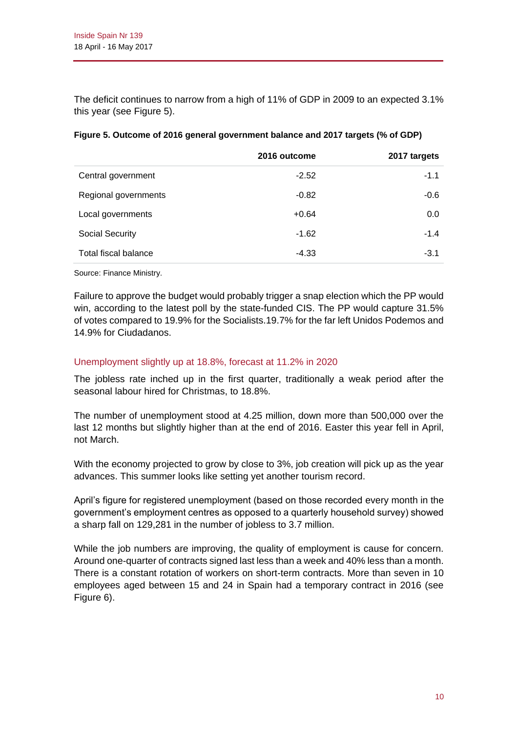The deficit continues to narrow from a high of 11% of GDP in 2009 to an expected 3.1% this year (see Figure 5).

|                             | 2016 outcome | 2017 targets |
|-----------------------------|--------------|--------------|
| Central government          | $-2.52$      | $-1.1$       |
| Regional governments        | $-0.82$      | $-0.6$       |
| Local governments           | $+0.64$      | 0.0          |
| Social Security             | $-1.62$      | $-1.4$       |
| <b>Total fiscal balance</b> | $-4.33$      | $-3.1$       |

|  | Figure 5. Outcome of 2016 general government balance and 2017 targets (% of GDP) |  |
|--|----------------------------------------------------------------------------------|--|
|--|----------------------------------------------------------------------------------|--|

Source: Finance Ministry.

Failure to approve the budget would probably trigger a snap election which the PP would win, according to the latest poll by the state-funded CIS. The PP would capture 31.5% of votes compared to 19.9% for the Socialists.19.7% for the far left Unidos Podemos and 14.9% for Ciudadanos.

#### Unemployment slightly up at 18.8%, forecast at 11.2% in 2020

The jobless rate inched up in the first quarter, traditionally a weak period after the seasonal labour hired for Christmas, to 18.8%.

The number of unemployment stood at 4.25 million, down more than 500,000 over the last 12 months but slightly higher than at the end of 2016. Easter this year fell in April, not March.

With the economy projected to grow by close to 3%, job creation will pick up as the year advances. This summer looks like setting yet another tourism record.

April's figure for registered unemployment (based on those recorded every month in the government's employment centres as opposed to a quarterly household survey) showed a sharp fall on 129,281 in the number of jobless to 3.7 million.

While the job numbers are improving, the quality of employment is cause for concern. Around one-quarter of contracts signed last less than a week and 40% less than a month. There is a constant rotation of workers on short-term contracts. More than seven in 10 employees aged between 15 and 24 in Spain had a temporary contract in 2016 (see Figure 6).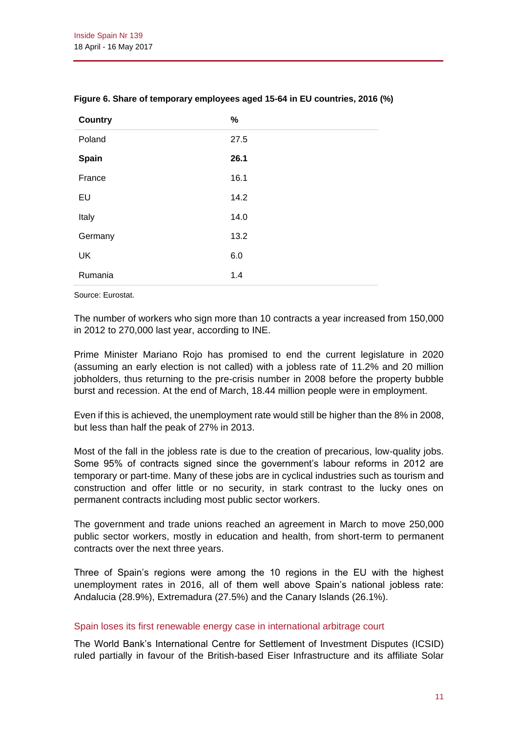| <b>Country</b> | $\%$ |
|----------------|------|
| Poland         | 27.5 |
| <b>Spain</b>   | 26.1 |
| France         | 16.1 |
| EU             | 14.2 |
| Italy          | 14.0 |
| Germany        | 13.2 |
| <b>UK</b>      | 6.0  |
| Rumania        | 1.4  |

#### **Figure 6. Share of temporary employees aged 15-64 in EU countries, 2016 (%)**

Source: Eurostat.

The number of workers who sign more than 10 contracts a year increased from 150,000 in 2012 to 270,000 last year, according to INE.

Prime Minister Mariano Rojo has promised to end the current legislature in 2020 (assuming an early election is not called) with a jobless rate of 11.2% and 20 million jobholders, thus returning to the pre-crisis number in 2008 before the property bubble burst and recession. At the end of March, 18.44 million people were in employment.

Even if this is achieved, the unemployment rate would still be higher than the 8% in 2008, but less than half the peak of 27% in 2013.

Most of the fall in the jobless rate is due to the creation of precarious, low-quality jobs. Some 95% of contracts signed since the government's labour reforms in 2012 are temporary or part-time. Many of these jobs are in cyclical industries such as tourism and construction and offer little or no security, in stark contrast to the lucky ones on permanent contracts including most public sector workers.

The government and trade unions reached an agreement in March to move 250,000 public sector workers, mostly in education and health, from short-term to permanent contracts over the next three years.

Three of Spain's regions were among the 10 regions in the EU with the highest unemployment rates in 2016, all of them well above Spain's national jobless rate: Andalucia (28.9%), Extremadura (27.5%) and the Canary Islands (26.1%).

#### Spain loses its first renewable energy case in international arbitrage court

The World Bank's International Centre for Settlement of Investment Disputes (ICSID) ruled partially in favour of the British-based Eiser Infrastructure and its affiliate Solar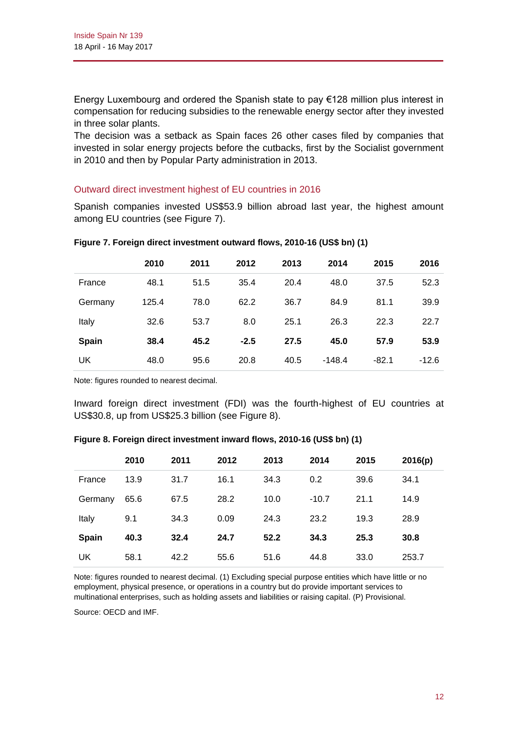Energy Luxembourg and ordered the Spanish state to pay €128 million plus interest in compensation for reducing subsidies to the renewable energy sector after they invested in three solar plants.

The decision was a setback as Spain faces 26 other cases filed by companies that invested in solar energy projects before the cutbacks, first by the Socialist government in 2010 and then by Popular Party administration in 2013.

#### Outward direct investment highest of EU countries in 2016

Spanish companies invested US\$53.9 billion abroad last year, the highest amount among EU countries (see Figure 7).

|              | 2010  | 2011 | 2012   | 2013 | 2014     | 2015    | 2016    |
|--------------|-------|------|--------|------|----------|---------|---------|
| France       | 48.1  | 51.5 | 35.4   | 20.4 | 48.0     | 37.5    | 52.3    |
| Germany      | 125.4 | 78.0 | 62.2   | 36.7 | 84.9     | 81.1    | 39.9    |
| Italy        | 32.6  | 53.7 | 8.0    | 25.1 | 26.3     | 22.3    | 22.7    |
| <b>Spain</b> | 38.4  | 45.2 | $-2.5$ | 27.5 | 45.0     | 57.9    | 53.9    |
| UK           | 48.0  | 95.6 | 20.8   | 40.5 | $-148.4$ | $-82.1$ | $-12.6$ |

#### **Figure 7. Foreign direct investment outward flows, 2010-16 (US\$ bn) (1)**

Note: figures rounded to nearest decimal.

Inward foreign direct investment (FDI) was the fourth-highest of EU countries at US\$30.8, up from US\$25.3 billion (see Figure 8).

|              | 2010 | 2011 | 2012 | 2013 | 2014    | 2015 | 2016(p) |
|--------------|------|------|------|------|---------|------|---------|
| France       | 13.9 | 31.7 | 16.1 | 34.3 | 0.2     | 39.6 | 34.1    |
| Germany      | 65.6 | 67.5 | 28.2 | 10.0 | $-10.7$ | 21.1 | 14.9    |
| Italy        | 9.1  | 34.3 | 0.09 | 24.3 | 23.2    | 19.3 | 28.9    |
| <b>Spain</b> | 40.3 | 32.4 | 24.7 | 52.2 | 34.3    | 25.3 | 30.8    |
| UK           | 58.1 | 42.2 | 55.6 | 51.6 | 44.8    | 33.0 | 253.7   |

**Figure 8. Foreign direct investment inward flows, 2010-16 (US\$ bn) (1)**

Note: figures rounded to nearest decimal. (1) Excluding special purpose entities which have little or no employment, physical presence, or operations in a country but do provide important services to multinational enterprises, such as holding assets and liabilities or raising capital. (P) Provisional.

Source: OECD and IMF.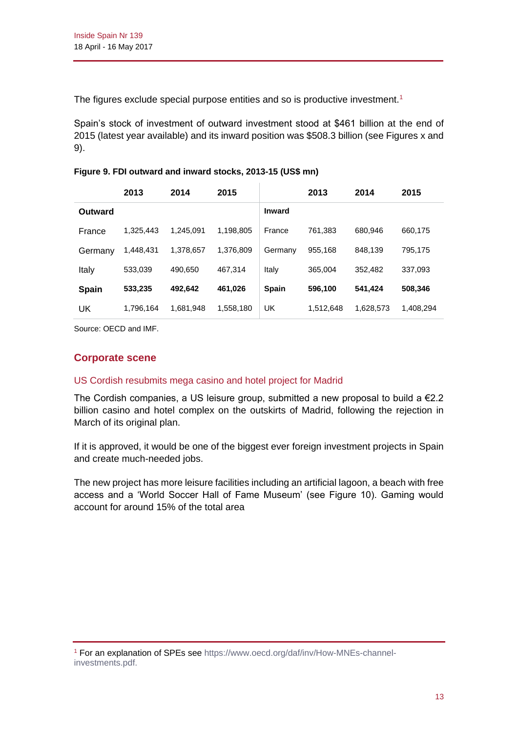The figures exclude special purpose entities and so is productive investment.<sup>1</sup>

Spain's stock of investment of outward investment stood at \$461 billion at the end of 2015 (latest year available) and its inward position was \$508.3 billion (see Figures x and 9).

|  |  |  | Figure 9. FDI outward and inward stocks, 2013-15 (US\$ mn) |
|--|--|--|------------------------------------------------------------|
|--|--|--|------------------------------------------------------------|

|              | 2013      | 2014      | 2015      |               | 2013      | 2014      | 2015      |
|--------------|-----------|-----------|-----------|---------------|-----------|-----------|-----------|
| Outward      |           |           |           | <b>Inward</b> |           |           |           |
| France       | 1.325.443 | 1.245.091 | 1,198,805 | France        | 761,383   | 680.946   | 660.175   |
| Germany      | 1,448,431 | 1,378,657 | 1.376.809 | Germany       | 955,168   | 848,139   | 795.175   |
| Italy        | 533.039   | 490.650   | 467.314   | Italy         | 365,004   | 352,482   | 337.093   |
| <b>Spain</b> | 533,235   | 492,642   | 461,026   | <b>Spain</b>  | 596,100   | 541,424   | 508.346   |
| UK           | 1.796.164 | 1.681.948 | 1,558,180 | UK            | 1.512.648 | 1.628.573 | 1.408.294 |

Source: OECD and IMF.

# **Corporate scene**

#### US Cordish resubmits mega casino and hotel project for Madrid

The Cordish companies, a US leisure group, submitted a new proposal to build a  $E2.2$ billion casino and hotel complex on the outskirts of Madrid, following the rejection in March of its original plan.

If it is approved, it would be one of the biggest ever foreign investment projects in Spain and create much-needed jobs.

The new project has more leisure facilities including an artificial lagoon, a beach with free access and a 'World Soccer Hall of Fame Museum' (see Figure 10). Gaming would account for around 15% of the total area

<sup>1</sup> For an explanation of SPEs see [https://www.oecd.org/daf/inv/How-MNEs-channel](https://www.oecd.org/daf/inv/How-MNEs-channel-investments.pdf)[investments.pdf.](https://www.oecd.org/daf/inv/How-MNEs-channel-investments.pdf)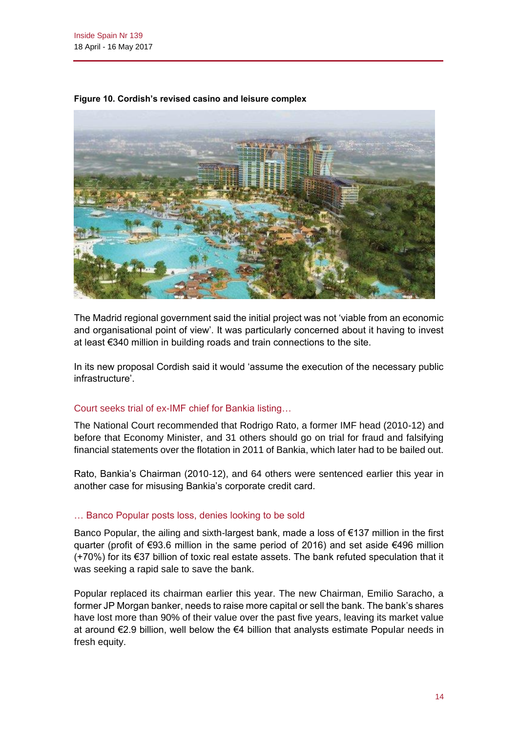

**Figure 10. Cordish's revised casino and leisure complex**

The Madrid regional government said the initial project was not 'viable from an economic and organisational point of view'. It was particularly concerned about it having to invest at least €340 million in building roads and train connections to the site.

In its new proposal Cordish said it would 'assume the execution of the necessary public infrastructure'.

# Court seeks trial of ex-IMF chief for Bankia listing…

The National Court recommended that Rodrigo Rato, a former IMF head (2010-12) and before that Economy Minister, and 31 others should go on trial for fraud and falsifying financial statements over the flotation in 2011 of Bankia, which later had to be bailed out.

Rato, Bankia's Chairman (2010-12), and 64 others were sentenced earlier this year in another case for misusing Bankia's corporate credit card.

#### … Banco Popular posts loss, denies looking to be sold

Banco Popular, the ailing and sixth-largest bank, made a loss of €137 million in the first quarter (profit of €93.6 million in the same period of 2016) and set aside €496 million (+70%) for its €37 billion of toxic real estate assets. The bank refuted speculation that it was seeking a rapid sale to save the bank.

Popular replaced its chairman earlier this year. The new Chairman, Emilio Saracho, a former JP Morgan banker, needs to raise more capital or sell the bank. The bank's shares have lost more than 90% of their value over the past five years, leaving its market value at around €2.9 billion, well below the €4 billion that analysts estimate Popular needs in fresh equity.